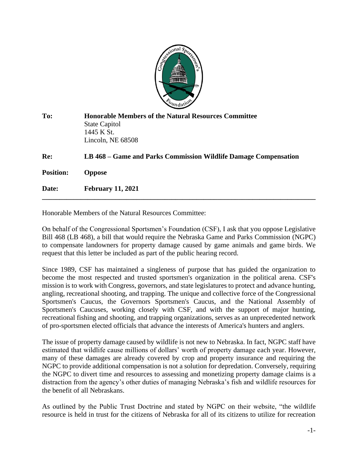

| To:              | <b>Honorable Members of the Natural Resources Committee</b><br><b>State Capitol</b><br>1445 K St.<br>Lincoln, NE 68508 |
|------------------|------------------------------------------------------------------------------------------------------------------------|
| Re:              | LB 468 – Game and Parks Commission Wildlife Damage Compensation                                                        |
| <b>Position:</b> | <b>Oppose</b>                                                                                                          |
| Date:            | <b>February 11, 2021</b>                                                                                               |

Honorable Members of the Natural Resources Committee:

On behalf of the Congressional Sportsmen's Foundation (CSF), I ask that you oppose Legislative Bill 468 (LB 468), a bill that would require the Nebraska Game and Parks Commission (NGPC) to compensate landowners for property damage caused by game animals and game birds. We request that this letter be included as part of the public hearing record.

Since 1989, CSF has maintained a singleness of purpose that has guided the organization to become the most respected and trusted sportsmen's organization in the political arena. CSF's mission is to work with Congress, governors, and state legislatures to protect and advance hunting, angling, recreational shooting, and trapping. The unique and collective force of the Congressional Sportsmen's Caucus, the Governors Sportsmen's Caucus, and the National Assembly of Sportsmen's Caucuses, working closely with CSF, and with the support of major hunting, recreational fishing and shooting, and trapping organizations, serves as an unprecedented network of pro-sportsmen elected officials that advance the interests of America's hunters and anglers.

The issue of property damage caused by wildlife is not new to Nebraska. In fact, NGPC staff have estimated that wildlife cause millions of dollars' worth of property damage each year. However, many of these damages are already covered by crop and property insurance and requiring the NGPC to provide additional compensation is not a solution for depredation. Conversely, requiring the NGPC to divert time and resources to assessing and monetizing property damage claims is a distraction from the agency's other duties of managing Nebraska's fish and wildlife resources for the benefit of all Nebraskans.

As outlined by the Public Trust Doctrine and stated by NGPC on their website, "the wildlife resource is held in trust for the citizens of Nebraska for all of its citizens to utilize for recreation